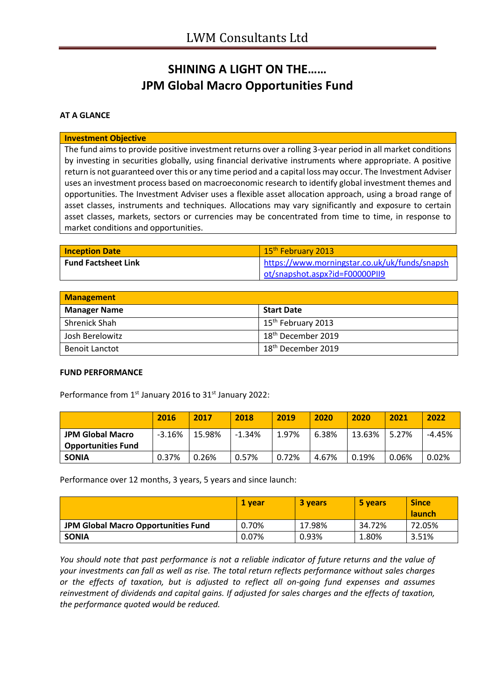## **SHINING A LIGHT ON THE…… JPM Global Macro Opportunities Fund**

### **AT A GLANCE**

#### **Investment Objective**

The fund aims to provide positive investment returns over a rolling 3-year period in all market conditions by investing in securities globally, using financial derivative instruments where appropriate. A positive return is not guaranteed over this or any time period and a capital loss may occur. The Investment Adviser uses an investment process based on macroeconomic research to identify global investment themes and opportunities. The Investment Adviser uses a flexible asset allocation approach, using a broad range of asset classes, instruments and techniques. Allocations may vary significantly and exposure to certain asset classes, markets, sectors or currencies may be concentrated from time to time, in response to market conditions and opportunities.

| <b>Inception Date</b>      | 15 <sup>th</sup> February 2013                |
|----------------------------|-----------------------------------------------|
| <b>Fund Factsheet Link</b> | https://www.morningstar.co.uk/uk/funds/snapsh |
|                            | ot/snapshot.aspx?id=F00000PII9                |

| <b>Management</b>     |                                |  |
|-----------------------|--------------------------------|--|
| <b>Manager Name</b>   | <b>Start Date</b>              |  |
| Shrenick Shah         | 15 <sup>th</sup> February 2013 |  |
| Josh Berelowitz       | 18 <sup>th</sup> December 2019 |  |
| <b>Benoit Lanctot</b> | 18 <sup>th</sup> December 2019 |  |

#### **FUND PERFORMANCE**

Performance from 1<sup>st</sup> January 2016 to 31<sup>st</sup> January 2022:

|                           | 2016     | 2017   | 2018     | 2019  | 2020  | 2020     | 2021  | 2022     |
|---------------------------|----------|--------|----------|-------|-------|----------|-------|----------|
| <b>JPM Global Macro</b>   | $-3.16%$ | 15.98% | $-1.34%$ | 1.97% | 6.38% | 13.63%   | 5.27% | $-4.45%$ |
| <b>Opportunities Fund</b> |          |        |          |       |       |          |       |          |
| <b>SONIA</b>              | 0.37%    | 0.26%  | 0.57%    | 0.72% | 4.67% | $0.19\%$ | 0.06% | 0.02%    |

Performance over 12 months, 3 years, 5 years and since launch:

|                                     | 1 vear | 3 years | 5 years | <b>Since</b><br><b>launch</b> |
|-------------------------------------|--------|---------|---------|-------------------------------|
| JPM Global Macro Opportunities Fund | 0.70%  | 17.98%  | 34.72%  | 72.05%                        |
| <b>SONIA</b>                        | 0.07%  | 0.93%   | 1.80%   | 3.51%                         |

*You should note that past performance is not a reliable indicator of future returns and the value of your investments can fall as well as rise. The total return reflects performance without sales charges or the effects of taxation, but is adjusted to reflect all on-going fund expenses and assumes reinvestment of dividends and capital gains. If adjusted for sales charges and the effects of taxation, the performance quoted would be reduced.*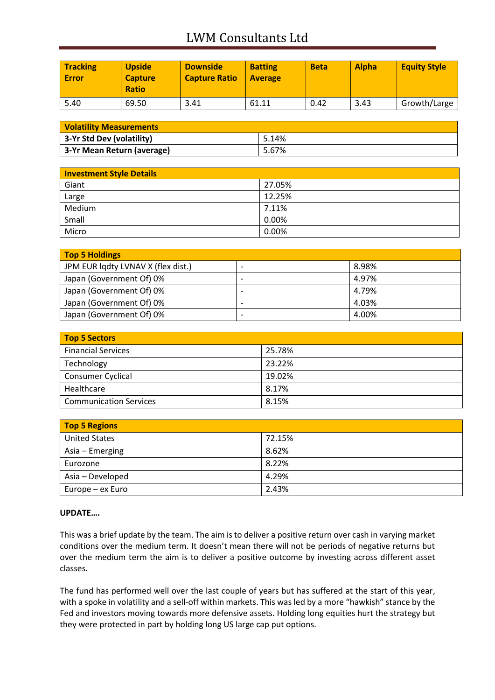# LWM Consultants Ltd

| <b>Tracking</b><br><b>Error</b> | <b>Upside</b><br><b>Capture</b><br><b>Ratio</b> | <b>Downside</b><br><b>Capture Ratio</b> | <b>Batting</b><br><b>Average</b> | <b>Beta</b> | <b>Alpha</b> | <b>Equity Style</b> |
|---------------------------------|-------------------------------------------------|-----------------------------------------|----------------------------------|-------------|--------------|---------------------|
| 5.40                            | 69.50                                           | 3.41                                    | 61.11                            | 0.42        | 3.43         | Growth/Large        |

| <b>Volatility Measurements</b> |       |  |
|--------------------------------|-------|--|
| 3-Yr Std Dev (volatility)      | 5.14% |  |
| 3-Yr Mean Return (average)     | 5.67% |  |

| <b>Investment Style Details</b> |        |
|---------------------------------|--------|
| Giant                           | 27.05% |
| Large                           | 12.25% |
| Medium                          | 7.11%  |
| Small                           | 0.00%  |
| Micro                           | 0.00%  |

| Top 5 Holdings                     |       |
|------------------------------------|-------|
| JPM EUR lqdty LVNAV X (flex dist.) | 8.98% |
| Japan (Government Of) 0%           | 4.97% |
| Japan (Government Of) 0%           | 4.79% |
| Japan (Government Of) 0%           | 4.03% |
| Japan (Government Of) 0%           | 4.00% |

| <b>Top 5 Sectors</b>          |        |
|-------------------------------|--------|
| <b>Financial Services</b>     | 25.78% |
| Technology                    | 23.22% |
| <b>Consumer Cyclical</b>      | 19.02% |
| Healthcare                    | 8.17%  |
| <b>Communication Services</b> | 8.15%  |

| <b>Top 5 Regions</b> |        |
|----------------------|--------|
| <b>United States</b> | 72.15% |
| Asia – Emerging      | 8.62%  |
| Eurozone             | 8.22%  |
| Asia - Developed     | 4.29%  |
| Europe – ex Euro     | 2.43%  |

### **UPDATE….**

This was a brief update by the team. The aim is to deliver a positive return over cash in varying market conditions over the medium term. It doesn't mean there will not be periods of negative returns but over the medium term the aim is to deliver a positive outcome by investing across different asset classes.

The fund has performed well over the last couple of years but has suffered at the start of this year, with a spoke in volatility and a sell-off within markets. This was led by a more "hawkish" stance by the Fed and investors moving towards more defensive assets. Holding long equities hurt the strategy but they were protected in part by holding long US large cap put options.